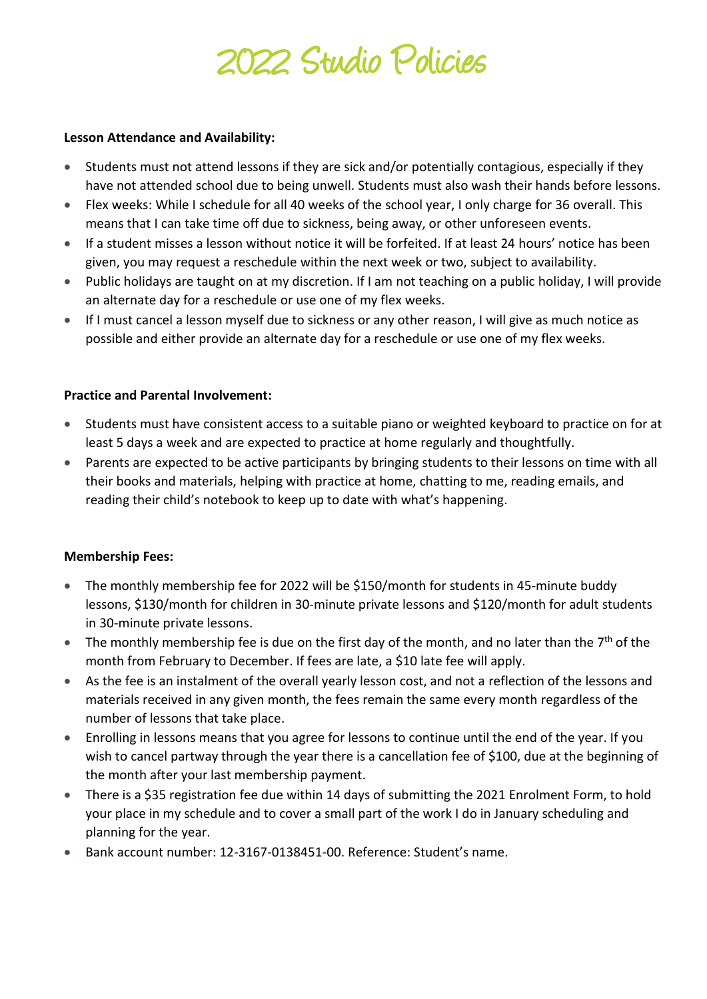# 2022 Studio Policies

#### **Lesson Attendance and Availability:**

- Students must not attend lessons if they are sick and/or potentially contagious, especially if they have not attended school due to being unwell. Students must also wash their hands before lessons.
- Flex weeks: While I schedule for all 40 weeks of the school year, I only charge for 36 overall. This means that I can take time off due to sickness, being away, or other unforeseen events.
- If a student misses a lesson without notice it will be forfeited. If at least 24 hours' notice has been given, you may request a reschedule within the next week or two, subject to availability.
- Public holidays are taught on at my discretion. If I am not teaching on a public holiday, I will provide an alternate day for a reschedule or use one of my flex weeks.
- If I must cancel a lesson myself due to sickness or any other reason, I will give as much notice as possible and either provide an alternate day for a reschedule or use one of my flex weeks.

## **Practice and Parental Involvement:**

- Students must have consistent access to a suitable piano or weighted keyboard to practice on for at least 5 days a week and are expected to practice at home regularly and thoughtfully.
- Parents are expected to be active participants by bringing students to their lessons on time with all their books and materials, helping with practice at home, chatting to me, reading emails, and reading their child's notebook to keep up to date with what's happening.

## **Membership Fees:**

- The monthly membership fee for 2022 will be \$150/month for students in 45-minute buddy lessons, \$130/month for children in 30-minute private lessons and \$120/month for adult students in 30-minute private lessons.
- The monthly membership fee is due on the first day of the month, and no later than the  $7<sup>th</sup>$  of the month from February to December. If fees are late, a \$10 late fee will apply.
- As the fee is an instalment of the overall yearly lesson cost, and not a reflection of the lessons and materials received in any given month, the fees remain the same every month regardless of the number of lessons that take place.
- Enrolling in lessons means that you agree for lessons to continue until the end of the year. If you wish to cancel partway through the year there is a cancellation fee of \$100, due at the beginning of the month after your last membership payment.
- There is a \$35 registration fee due within 14 days of submitting the 2021 Enrolment Form, to hold your place in my schedule and to cover a small part of the work I do in January scheduling and planning for the year.
- Bank account number: 12-3167-0138451-00. Reference: Student's name.